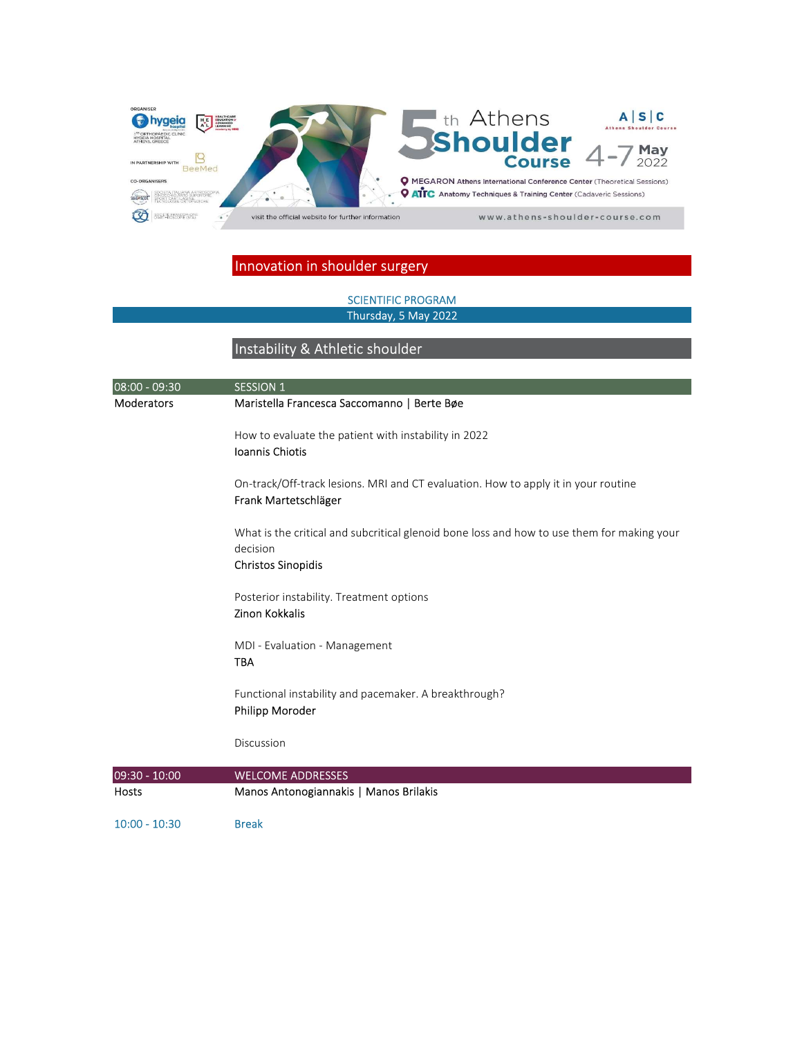

SCIENTIFIC PROGRAM Thursday, 5 May 2022

# Instability & Athletic shoulder

| $08:00 - 09:30$   | <b>SESSION 1</b>                                                                                                                    |
|-------------------|-------------------------------------------------------------------------------------------------------------------------------------|
| <b>Moderators</b> | Maristella Francesca Saccomanno   Berte Bøe                                                                                         |
|                   | How to evaluate the patient with instability in 2022<br>Ioannis Chiotis                                                             |
|                   | On-track/Off-track lesions. MRI and CT evaluation. How to apply it in your routine<br>Frank Martetschläger                          |
|                   | What is the critical and subcritical glenoid bone loss and how to use them for making your<br>decision<br><b>Christos Sinopidis</b> |
|                   | Posterior instability. Treatment options<br><b>Zinon Kokkalis</b>                                                                   |
|                   | MDI - Evaluation - Management<br><b>TBA</b>                                                                                         |
|                   | Functional instability and pacemaker. A breakthrough?<br>Philipp Moroder                                                            |
|                   | Discussion                                                                                                                          |
| 09:30 - 10:00     | <b>WELCOME ADDRESSES</b>                                                                                                            |
| Hosts             | Manos Antonogiannakis   Manos Brilakis                                                                                              |
| $10:00 - 10:30$   | <b>Break</b>                                                                                                                        |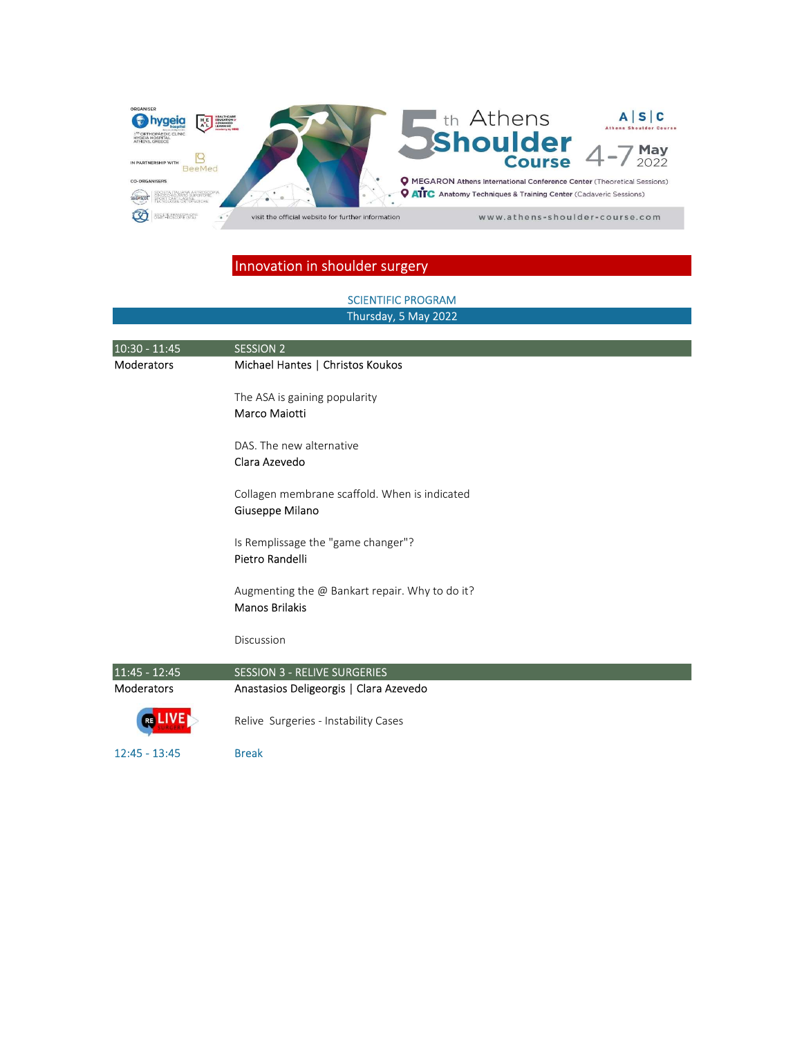

# SCIENTIFIC PROGRAM Thursday, 5 May 202210:30 - 11:45 SESSION 2 Moderators Michael Hantes | Christos Koukos The ASA is gaining popularity Marco Maiotti DAS. The new alternative Clara Azevedo Collagen membrane scaffold. When is indicated Giuseppe Milano Is Remplissage the "game changer"? Pietro Randelli Augmenting the @ Bankart repair. Why to do it? Manos Brilakis Discussion 11:45 - 12:45 SESSION 3 - RELIVE SURGERIES Moderators Anastasios Deligeorgis | Clara Azevedo Relive Surgeries - Instability Cases **RF** 12:45 - 13:45 Break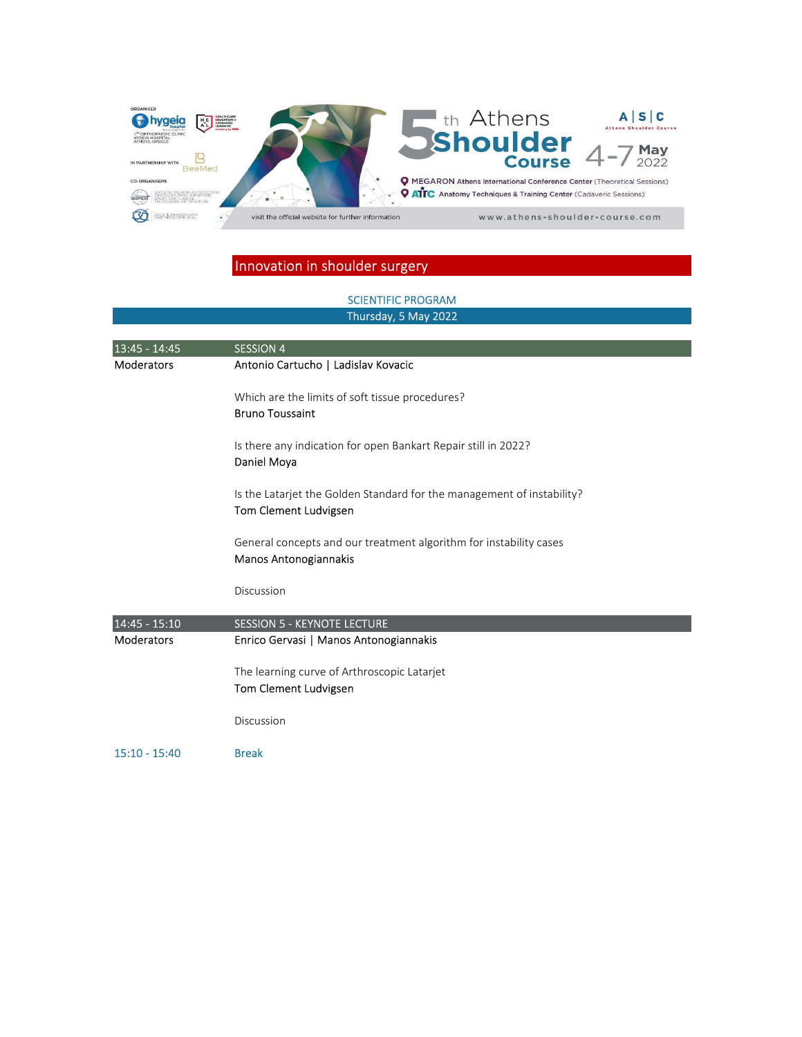

#### SCIENTIFIC PROGRAM Thursday, 5 May 2022

| 13:45 - 14:45     | <b>SESSION 4</b>                                                                                |
|-------------------|-------------------------------------------------------------------------------------------------|
| <b>Moderators</b> | Antonio Cartucho   Ladislav Kovacic                                                             |
|                   | Which are the limits of soft tissue procedures?<br><b>Bruno Toussaint</b>                       |
|                   | Is there any indication for open Bankart Repair still in 2022?<br>Daniel Moya                   |
|                   | Is the Latarjet the Golden Standard for the management of instability?<br>Tom Clement Ludvigsen |
|                   | General concepts and our treatment algorithm for instability cases<br>Manos Antonogiannakis     |
|                   | Discussion                                                                                      |
| 14:45 - 15:10     | <b>SESSION 5 - KEYNOTE LECTURE</b>                                                              |
| <b>Moderators</b> | Enrico Gervasi   Manos Antonogiannakis                                                          |
|                   | The learning curve of Arthroscopic Latarjet                                                     |
|                   | Tom Clement Ludvigsen                                                                           |
|                   | Discussion                                                                                      |
| $15:10 - 15:40$   | <b>Break</b>                                                                                    |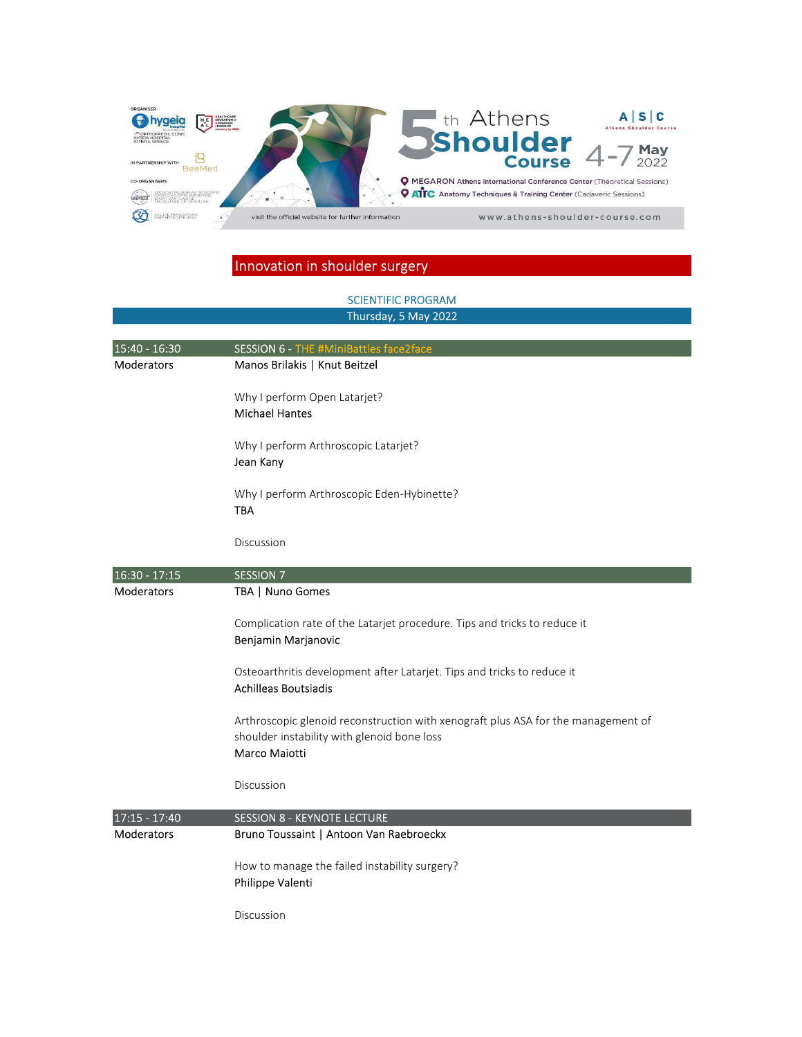

#### SCIENTIFIC PROGRAM Thursday, 5 May 2022

| 15:40 - 16:30     | SESSION 6 - THE #MiniBattles face2face                                                                                                            |
|-------------------|---------------------------------------------------------------------------------------------------------------------------------------------------|
| <b>Moderators</b> | Manos Brilakis   Knut Beitzel                                                                                                                     |
|                   | Why I perform Open Latarjet?<br><b>Michael Hantes</b>                                                                                             |
|                   | Why I perform Arthroscopic Latarjet?<br>Jean Kany                                                                                                 |
|                   | Why I perform Arthroscopic Eden-Hybinette?<br>TBA                                                                                                 |
|                   | Discussion                                                                                                                                        |
| 16:30 - 17:15     | <b>SESSION 7</b>                                                                                                                                  |
| Moderators        | TBA   Nuno Gomes                                                                                                                                  |
|                   | Complication rate of the Latarjet procedure. Tips and tricks to reduce it<br>Benjamin Marjanovic                                                  |
|                   | Osteoarthritis development after Latarjet. Tips and tricks to reduce it<br><b>Achilleas Boutsiadis</b>                                            |
|                   | Arthroscopic glenoid reconstruction with xenograft plus ASA for the management of<br>shoulder instability with glenoid bone loss<br>Marco Maiotti |
|                   | Discussion                                                                                                                                        |
| 17:15 - 17:40     | <b>SESSION 8 - KEYNOTE LECTURE</b>                                                                                                                |
| Moderators        | Bruno Toussaint   Antoon Van Raebroeckx                                                                                                           |
|                   | How to manage the failed instability surgery?<br>Philippe Valenti                                                                                 |
|                   | Discussion                                                                                                                                        |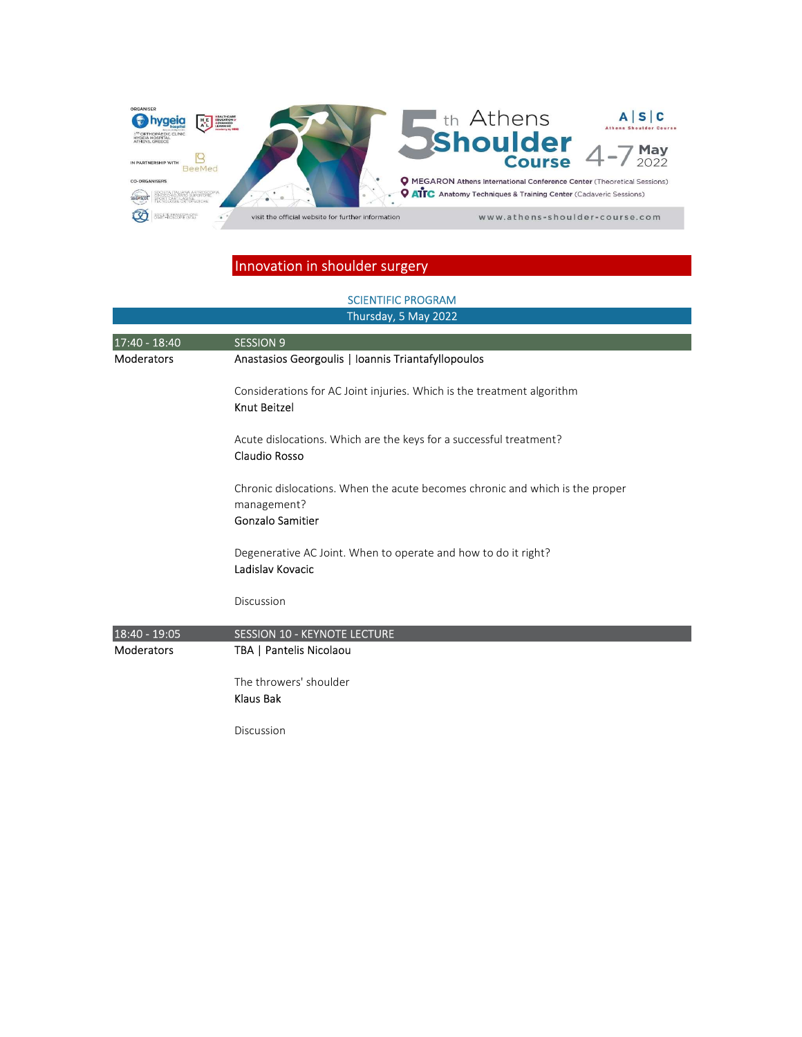

#### SCIENTIFIC PROGRAM Thursday, 5 May 2022

| 17:40 - 18:40     | <b>SESSION 9</b>                                                                                                       |
|-------------------|------------------------------------------------------------------------------------------------------------------------|
| <b>Moderators</b> | Anastasios Georgoulis   Ioannis Triantafyllopoulos                                                                     |
|                   | Considerations for AC Joint injuries. Which is the treatment algorithm<br><b>Knut Beitzel</b>                          |
|                   | Acute dislocations. Which are the keys for a successful treatment?<br><b>Claudio Rosso</b>                             |
|                   | Chronic dislocations. When the acute becomes chronic and which is the proper<br>management?<br><b>Gonzalo Samitier</b> |
|                   | Degenerative AC Joint. When to operate and how to do it right?<br>Ladislav Kovacic                                     |
|                   | Discussion                                                                                                             |
| 18:40 - 19:05     | <b>SESSION 10 - KEYNOTE LECTURE</b>                                                                                    |
| <b>Moderators</b> | TBA   Pantelis Nicolaou                                                                                                |
|                   | The throwers' shoulder<br><b>Klaus Bak</b>                                                                             |
|                   | Discussion                                                                                                             |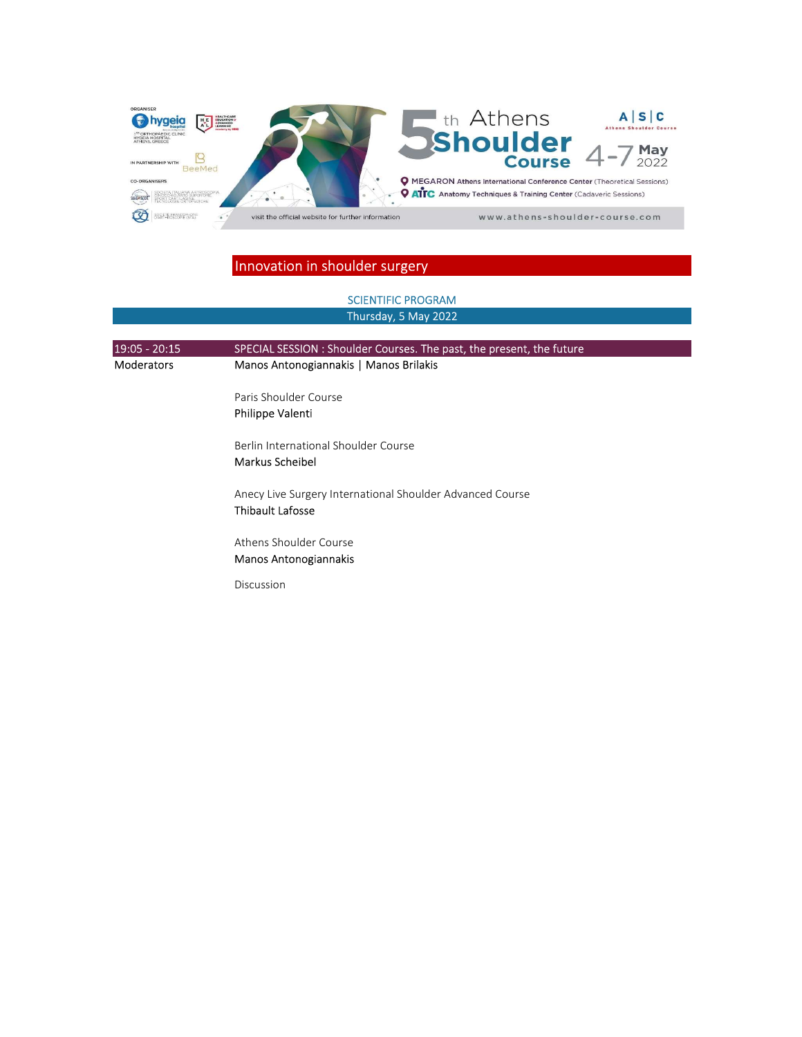

# 19:05 - 20:15 SPECIAL SESSION : Shoulder Courses. The past, the present, the future Moderators Manos Antonogiannakis | Manos Brilakis Paris Shoulder Course Philippe Valenti Berlin International Shoulder Course Markus Scheibel Anecy Live Surgery International Shoulder Advanced Course Thibault Lafosse Athens Shoulder Course Manos Antonogiannakis Discussion Thursday, 5 May 2022 SCIENTIFIC PROGRAM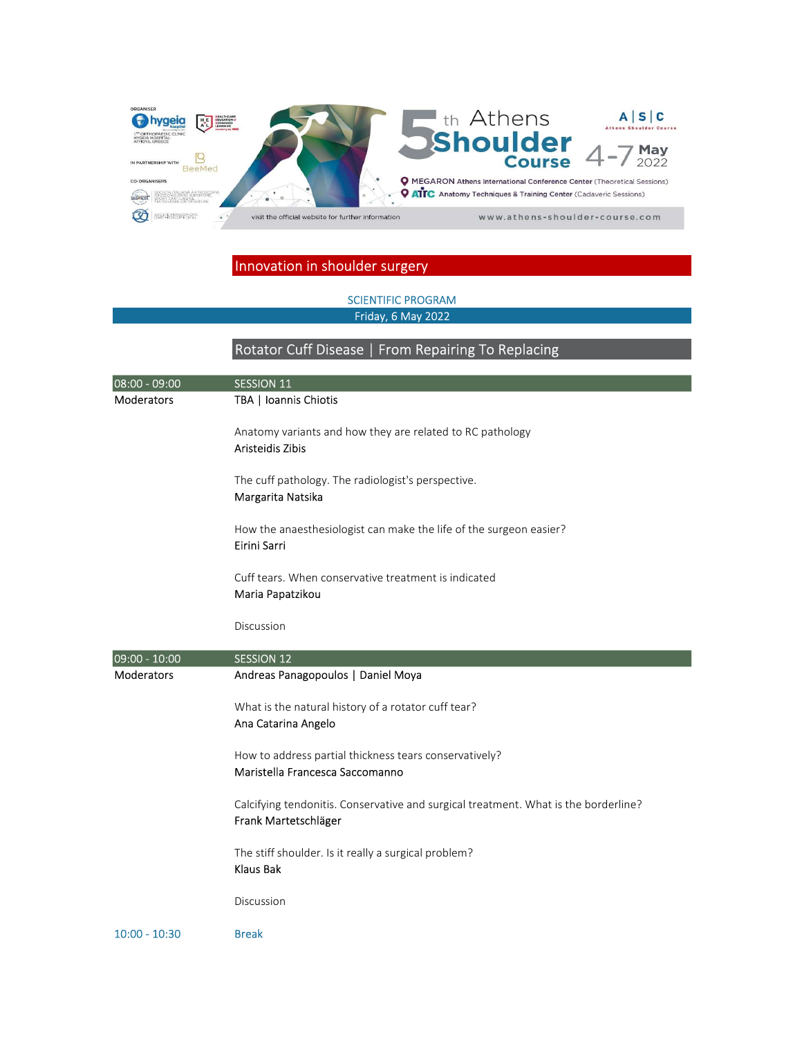

#### SCIENTIFIC PROGRAM Friday, 6 May 2022

# Rotator Cuff Disease | From Repairing To Replacing

| 08:00 - 09:00     | <b>SESSION 11</b>                                                                                           |
|-------------------|-------------------------------------------------------------------------------------------------------------|
| Moderators        | TBA   Ioannis Chiotis                                                                                       |
|                   | Anatomy variants and how they are related to RC pathology<br>Aristeidis Zibis                               |
|                   | The cuff pathology. The radiologist's perspective.<br>Margarita Natsika                                     |
|                   | How the anaesthesiologist can make the life of the surgeon easier?<br>Eirini Sarri                          |
|                   | Cuff tears. When conservative treatment is indicated<br>Maria Papatzikou                                    |
|                   | Discussion                                                                                                  |
| 09:00 - 10:00     | <b>SESSION 12</b>                                                                                           |
| <b>Moderators</b> | Andreas Panagopoulos   Daniel Moya                                                                          |
|                   | What is the natural history of a rotator cuff tear?<br>Ana Catarina Angelo                                  |
|                   | How to address partial thickness tears conservatively?<br>Maristella Francesca Saccomanno                   |
|                   | Calcifying tendonitis. Conservative and surgical treatment. What is the borderline?<br>Frank Martetschläger |
|                   | The stiff shoulder. Is it really a surgical problem?<br><b>Klaus Bak</b>                                    |
|                   | Discussion                                                                                                  |
| $10:00 - 10:30$   | <b>Break</b>                                                                                                |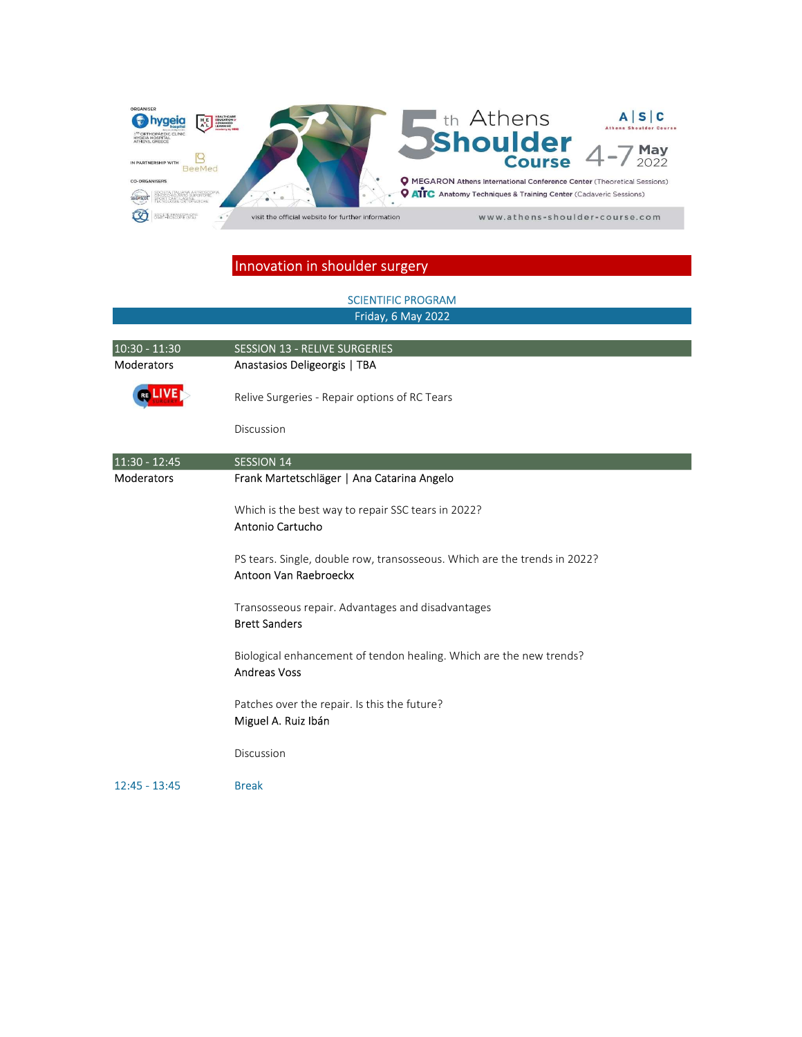

#### SCIENTIFIC PROGRAM Friday, 6 May 2022

| 10:30 - 11:30     | <b>SESSION 13 - RELIVE SURGERIES</b>                                                               |
|-------------------|----------------------------------------------------------------------------------------------------|
| <b>Moderators</b> | Anastasios Deligeorgis   TBA                                                                       |
|                   | Relive Surgeries - Repair options of RC Tears                                                      |
|                   | Discussion                                                                                         |
| 11:30 - 12:45     | <b>SESSION 14</b>                                                                                  |
| <b>Moderators</b> | Frank Martetschläger   Ana Catarina Angelo                                                         |
|                   | Which is the best way to repair SSC tears in 2022?<br>Antonio Cartucho                             |
|                   | PS tears. Single, double row, transosseous. Which are the trends in 2022?<br>Antoon Van Raebroeckx |
|                   | Transosseous repair. Advantages and disadvantages<br><b>Brett Sanders</b>                          |
|                   | Biological enhancement of tendon healing. Which are the new trends?<br><b>Andreas Voss</b>         |
|                   | Patches over the repair. Is this the future?<br>Miguel A. Ruiz Ibán                                |
|                   | Discussion                                                                                         |
| $12:45 - 13:45$   | <b>Break</b>                                                                                       |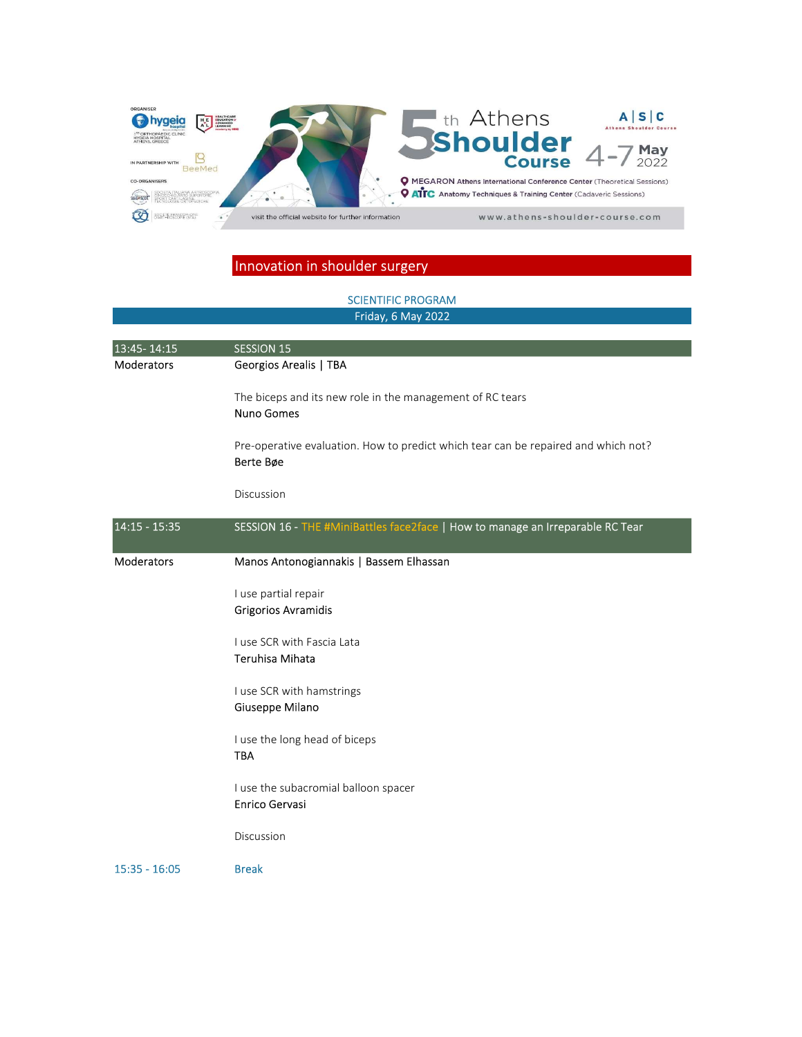

# 13:45- 14:15 SESSION 15 Moderators Georgios Arealis | TBA The biceps and its new role in the management of RC tears Nuno Gomes Pre-operative evaluation. How to predict which tear can be repaired and which not? Berte Bøe Discussion 14:15 - 15:35 SESSION 16 - THE #MiniBattles face2face | How to manage an Irreparable RC Tear Moderators Manos Antonogiannakis | Bassem Elhassan I use partial repair Grigorios Avramidis I use SCR with Fascia Lata Teruhisa Mihata I use SCR with hamstrings Giuseppe Milano I use the long head of biceps TBA I use the subacromial balloon spacer Enrico Gervasi Discussion 15:35 - 16:05 Break SCIENTIFIC PROGRAM Friday, 6 May 2022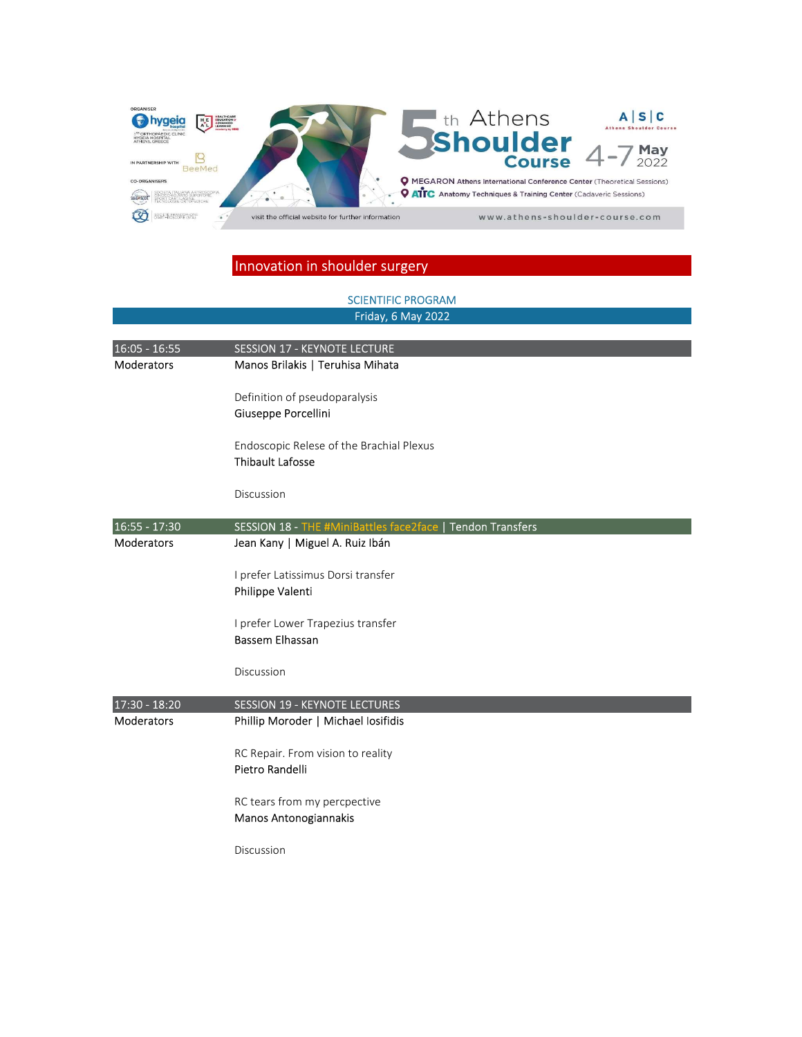

# 16:05 - 16:55 SESSION 17 - KEYNOTE LECTURE Moderators Manos Brilakis | Teruhisa Mihata Definition of pseudoparalysis Giuseppe Porcellini Endoscopic Relese of the Brachial Plexus Thibault Lafosse Discussion 16:55 - 17:30 SESSION 18 - THE #MiniBattles face2face | Tendon Transfers Moderators Jean Kany | Miguel A. Ruiz Ibán I prefer Latissimus Dorsi transfer Philippe Valenti I prefer Lower Trapezius transfer Bassem Elhassan SCIENTIFIC PROGRAM Friday, 6 May 2022

Discussion

| <b>Moderators</b><br>Phillip Moroder   Michael Iosifidis |  |
|----------------------------------------------------------|--|
|                                                          |  |
|                                                          |  |
| RC Repair. From vision to reality                        |  |
| Pietro Randelli                                          |  |
| RC tears from my percpective                             |  |
| Manos Antonogiannakis                                    |  |
| Discussion                                               |  |
|                                                          |  |
|                                                          |  |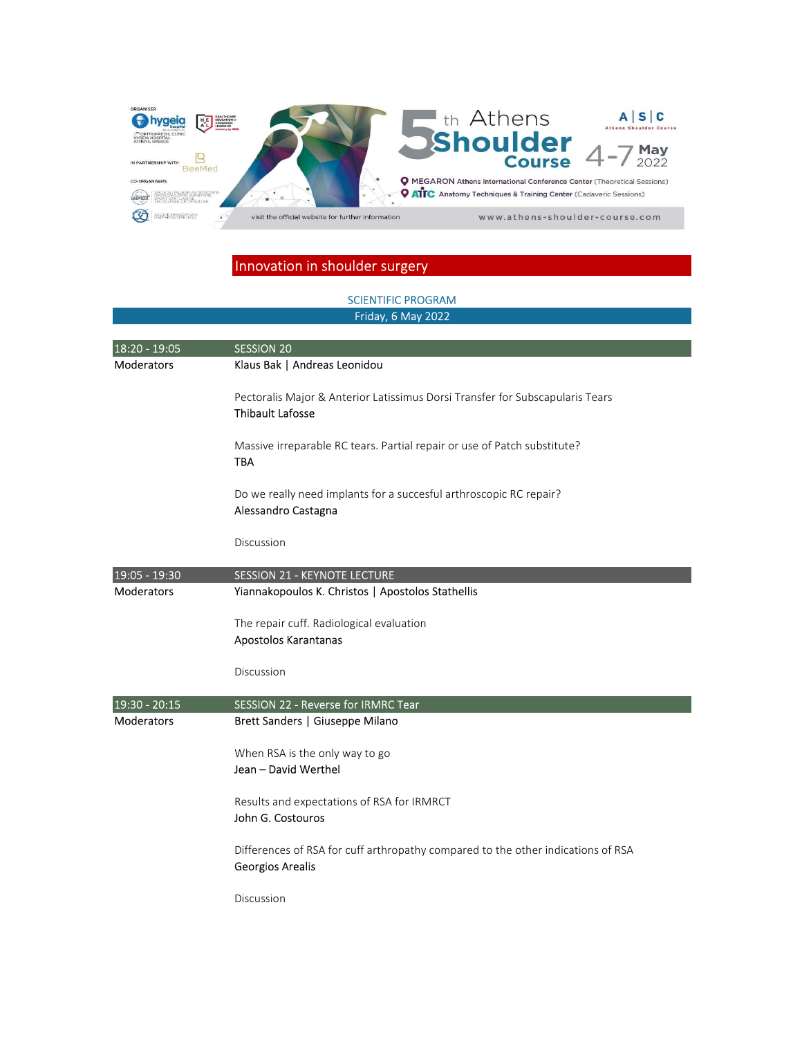

#### SCIENTIFIC PROGRAM Friday, 6 May 2022

| 18:20 - 19:05     | <b>SESSION 20</b>                                                                                           |
|-------------------|-------------------------------------------------------------------------------------------------------------|
| <b>Moderators</b> | Klaus Bak   Andreas Leonidou                                                                                |
|                   | Pectoralis Major & Anterior Latissimus Dorsi Transfer for Subscapularis Tears<br><b>Thibault Lafosse</b>    |
|                   | Massive irreparable RC tears. Partial repair or use of Patch substitute?<br><b>TBA</b>                      |
|                   | Do we really need implants for a succesful arthroscopic RC repair?<br>Alessandro Castagna                   |
|                   | Discussion                                                                                                  |
| 19:05 - 19:30     | <b>SESSION 21 - KEYNOTE LECTURE</b>                                                                         |
| <b>Moderators</b> | Yiannakopoulos K. Christos   Apostolos Stathellis                                                           |
|                   | The repair cuff. Radiological evaluation<br>Apostolos Karantanas                                            |
|                   | Discussion                                                                                                  |
| 19:30 - 20:15     | SESSION 22 - Reverse for IRMRC Tear                                                                         |
| <b>Moderators</b> | Brett Sanders   Giuseppe Milano                                                                             |
|                   | When RSA is the only way to go<br>Jean - David Werthel                                                      |
|                   | Results and expectations of RSA for IRMRCT<br>John G. Costouros                                             |
|                   | Differences of RSA for cuff arthropathy compared to the other indications of RSA<br><b>Georgios Arealis</b> |
|                   | Discussion                                                                                                  |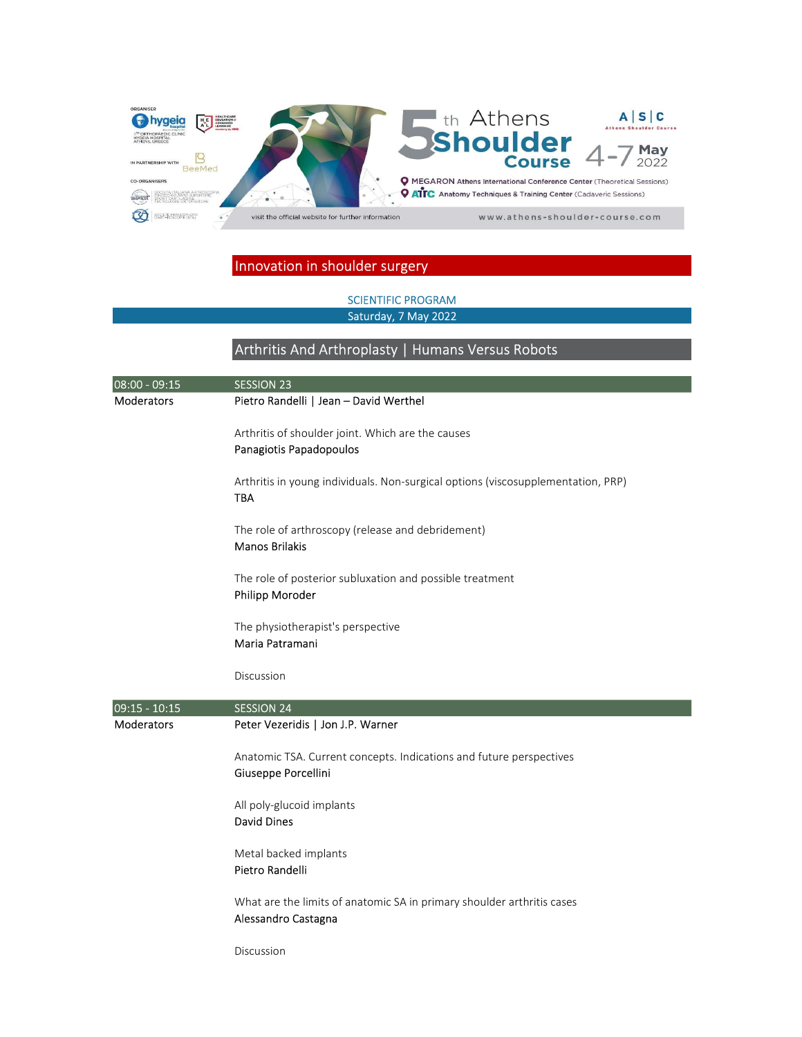

#### SCIENTIFIC PROGRAM Saturday, 7 May 2022

### Arthritis And Arthroplasty | Humans Versus Robots

| 08:00 - 09:15   | <b>SESSION 23</b>                                                                              |
|-----------------|------------------------------------------------------------------------------------------------|
| Moderators      | Pietro Randelli   Jean - David Werthel                                                         |
|                 | Arthritis of shoulder joint. Which are the causes<br>Panagiotis Papadopoulos                   |
|                 | Arthritis in young individuals. Non-surgical options (viscosupplementation, PRP)<br><b>TBA</b> |
|                 | The role of arthroscopy (release and debridement)<br><b>Manos Brilakis</b>                     |
|                 | The role of posterior subluxation and possible treatment<br>Philipp Moroder                    |
|                 | The physiotherapist's perspective<br>Maria Patramani                                           |
|                 | Discussion                                                                                     |
| $09:15 - 10:15$ | <b>SESSION 24</b>                                                                              |
| Moderators      | Peter Vezeridis   Jon J.P. Warner                                                              |
|                 | Anatomic TSA. Current concepts. Indications and future perspectives<br>Giuseppe Porcellini     |
|                 | All poly-glucoid implants<br><b>David Dines</b>                                                |
|                 | Metal backed implants<br>Pietro Randelli                                                       |
|                 | What are the limits of anatomic SA in primary shoulder arthritis cases<br>Alessandro Castagna  |
|                 | Discussion                                                                                     |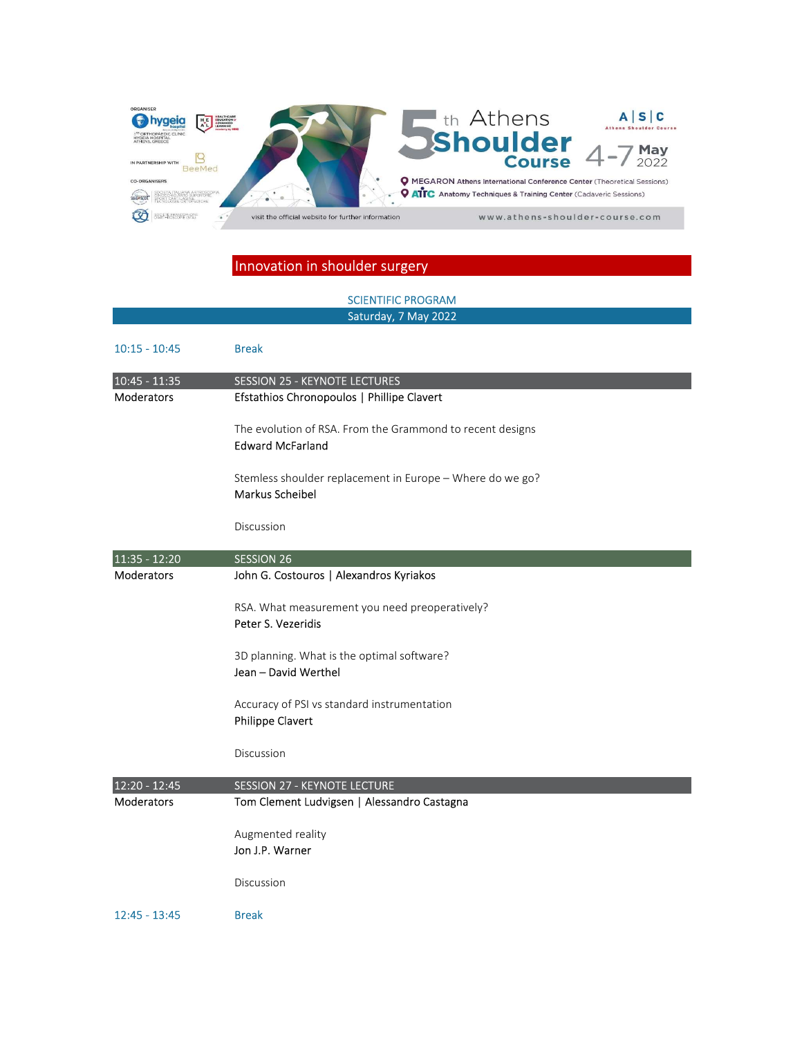

#### SCIENTIFIC PROGRAM Saturday, 7 May 2022

| $10:15 - 10:45$             | <b>Break</b>                                                                         |
|-----------------------------|--------------------------------------------------------------------------------------|
| 10:45 - 11:35<br>Moderators | <b>SESSION 25 - KEYNOTE LECTURES</b><br>Efstathios Chronopoulos   Phillipe Clavert   |
|                             | The evolution of RSA. From the Grammond to recent designs<br><b>Edward McFarland</b> |
|                             | Stemless shoulder replacement in Europe - Where do we go?<br>Markus Scheibel         |
|                             | Discussion                                                                           |
| 11:35 - 12:20               | <b>SESSION 26</b>                                                                    |
| <b>Moderators</b>           | John G. Costouros   Alexandros Kyriakos                                              |
|                             | RSA. What measurement you need preoperatively?<br>Peter S. Vezeridis                 |
|                             | 3D planning. What is the optimal software?<br>Jean - David Werthel                   |
|                             | Accuracy of PSI vs standard instrumentation<br>Philippe Clavert                      |
|                             | Discussion                                                                           |
| 12:20 - 12:45               | <b>SESSION 27 - KEYNOTE LECTURE</b>                                                  |
| <b>Moderators</b>           | Tom Clement Ludvigsen   Alessandro Castagna                                          |
|                             | Augmented reality<br>Jon J.P. Warner                                                 |
|                             | Discussion                                                                           |
| $12:45 - 13:45$             | <b>Break</b>                                                                         |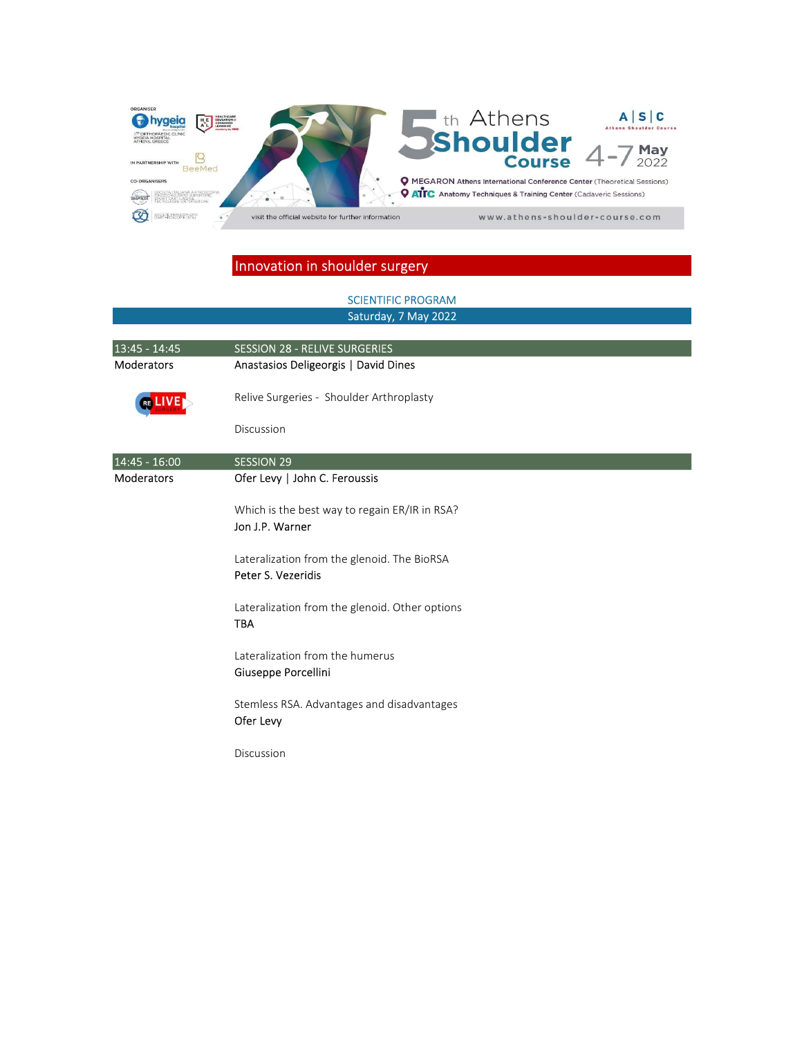

#### SCIENTIFIC PROGRAM Saturday, 7 May 2022

| 13:45 - 14:45     | <b>SESSION 28 - RELIVE SURGERIES</b>                              |
|-------------------|-------------------------------------------------------------------|
| <b>Moderators</b> | Anastasios Deligeorgis   David Dines                              |
|                   | Relive Surgeries - Shoulder Arthroplasty                          |
|                   | Discussion                                                        |
| 14:45 - 16:00     | <b>SESSION 29</b>                                                 |
| <b>Moderators</b> | Ofer Levy   John C. Feroussis                                     |
|                   | Which is the best way to regain ER/IR in RSA?<br>Jon J.P. Warner  |
|                   | Lateralization from the glenoid. The BioRSA<br>Peter S. Vezeridis |
|                   | Lateralization from the glenoid. Other options<br><b>TBA</b>      |
|                   | Lateralization from the humerus<br>Giuseppe Porcellini            |
|                   | Stemless RSA. Advantages and disadvantages<br>Ofer Levy           |
|                   | Discussion                                                        |